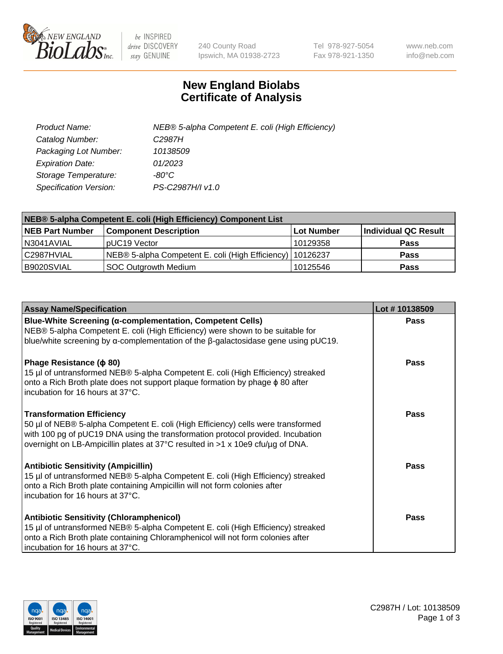

 $be$  INSPIRED drive DISCOVERY stay GENUINE

240 County Road Ipswich, MA 01938-2723 Tel 978-927-5054 Fax 978-921-1350 www.neb.com info@neb.com

## **New England Biolabs Certificate of Analysis**

| Product Name:           | NEB® 5-alpha Competent E. coli (High Efficiency) |
|-------------------------|--------------------------------------------------|
| Catalog Number:         | C <sub>2987</sub> H                              |
| Packaging Lot Number:   | 10138509                                         |
| <b>Expiration Date:</b> | 01/2023                                          |
| Storage Temperature:    | -80°C                                            |
| Specification Version:  | PS-C2987H/I v1.0                                 |

| NEB® 5-alpha Competent E. coli (High Efficiency) Component List |                                                             |            |                      |  |
|-----------------------------------------------------------------|-------------------------------------------------------------|------------|----------------------|--|
| <b>NEB Part Number</b>                                          | <b>Component Description</b>                                | Lot Number | Individual QC Result |  |
| N3041AVIAL                                                      | pUC19 Vector                                                | 10129358   | <b>Pass</b>          |  |
| C2987HVIAL                                                      | NEB® 5-alpha Competent E. coli (High Efficiency)   10126237 |            | <b>Pass</b>          |  |
| B9020SVIAL                                                      | SOC Outgrowth Medium                                        | 10125546   | <b>Pass</b>          |  |

| <b>Assay Name/Specification</b>                                                                                                                                                                                                                                                           | Lot #10138509 |
|-------------------------------------------------------------------------------------------------------------------------------------------------------------------------------------------------------------------------------------------------------------------------------------------|---------------|
| <b>Blue-White Screening (α-complementation, Competent Cells)</b><br>NEB® 5-alpha Competent E. coli (High Efficiency) were shown to be suitable for<br>blue/white screening by $\alpha$ -complementation of the $\beta$ -galactosidase gene using pUC19.                                   | Pass          |
| Phage Resistance ( $\phi$ 80)<br>15 µl of untransformed NEB® 5-alpha Competent E. coli (High Efficiency) streaked<br>onto a Rich Broth plate does not support plaque formation by phage $\phi$ 80 after<br>incubation for 16 hours at 37°C.                                               | Pass          |
| <b>Transformation Efficiency</b><br>50 µl of NEB® 5-alpha Competent E. coli (High Efficiency) cells were transformed<br>with 100 pg of pUC19 DNA using the transformation protocol provided. Incubation<br>overnight on LB-Ampicillin plates at 37°C resulted in >1 x 10e9 cfu/µg of DNA. | Pass          |
| <b>Antibiotic Sensitivity (Ampicillin)</b><br>15 µl of untransformed NEB® 5-alpha Competent E. coli (High Efficiency) streaked<br>onto a Rich Broth plate containing Ampicillin will not form colonies after<br>incubation for 16 hours at 37°C.                                          | Pass          |
| <b>Antibiotic Sensitivity (Chloramphenicol)</b><br>15 µl of untransformed NEB® 5-alpha Competent E. coli (High Efficiency) streaked<br>onto a Rich Broth plate containing Chloramphenicol will not form colonies after<br>incubation for 16 hours at 37°C.                                | Pass          |

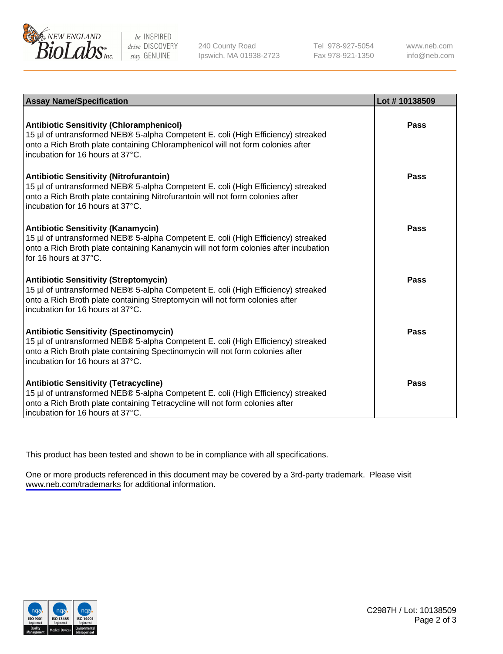

be INSPIRED drive DISCOVERY stay GENUINE

240 County Road Ipswich, MA 01938-2723 Tel 978-927-5054 Fax 978-921-1350

www.neb.com info@neb.com

| <b>Assay Name/Specification</b>                                                                                                                                                                                                                            | Lot #10138509 |
|------------------------------------------------------------------------------------------------------------------------------------------------------------------------------------------------------------------------------------------------------------|---------------|
| <b>Antibiotic Sensitivity (Chloramphenicol)</b><br>15 µl of untransformed NEB® 5-alpha Competent E. coli (High Efficiency) streaked<br>onto a Rich Broth plate containing Chloramphenicol will not form colonies after<br>incubation for 16 hours at 37°C. | Pass          |
| <b>Antibiotic Sensitivity (Nitrofurantoin)</b><br>15 µl of untransformed NEB® 5-alpha Competent E. coli (High Efficiency) streaked<br>onto a Rich Broth plate containing Nitrofurantoin will not form colonies after<br>incubation for 16 hours at 37°C.   | Pass          |
| <b>Antibiotic Sensitivity (Kanamycin)</b><br>15 µl of untransformed NEB® 5-alpha Competent E. coli (High Efficiency) streaked<br>onto a Rich Broth plate containing Kanamycin will not form colonies after incubation<br>for 16 hours at $37^{\circ}$ C.   | Pass          |
| <b>Antibiotic Sensitivity (Streptomycin)</b><br>15 µl of untransformed NEB® 5-alpha Competent E. coli (High Efficiency) streaked<br>onto a Rich Broth plate containing Streptomycin will not form colonies after<br>incubation for 16 hours at 37°C.       | <b>Pass</b>   |
| <b>Antibiotic Sensitivity (Spectinomycin)</b><br>15 µl of untransformed NEB® 5-alpha Competent E. coli (High Efficiency) streaked<br>onto a Rich Broth plate containing Spectinomycin will not form colonies after<br>incubation for 16 hours at 37°C.     | Pass          |
| <b>Antibiotic Sensitivity (Tetracycline)</b><br>15 µl of untransformed NEB® 5-alpha Competent E. coli (High Efficiency) streaked<br>onto a Rich Broth plate containing Tetracycline will not form colonies after<br>incubation for 16 hours at 37°C.       | Pass          |

This product has been tested and shown to be in compliance with all specifications.

One or more products referenced in this document may be covered by a 3rd-party trademark. Please visit <www.neb.com/trademarks>for additional information.